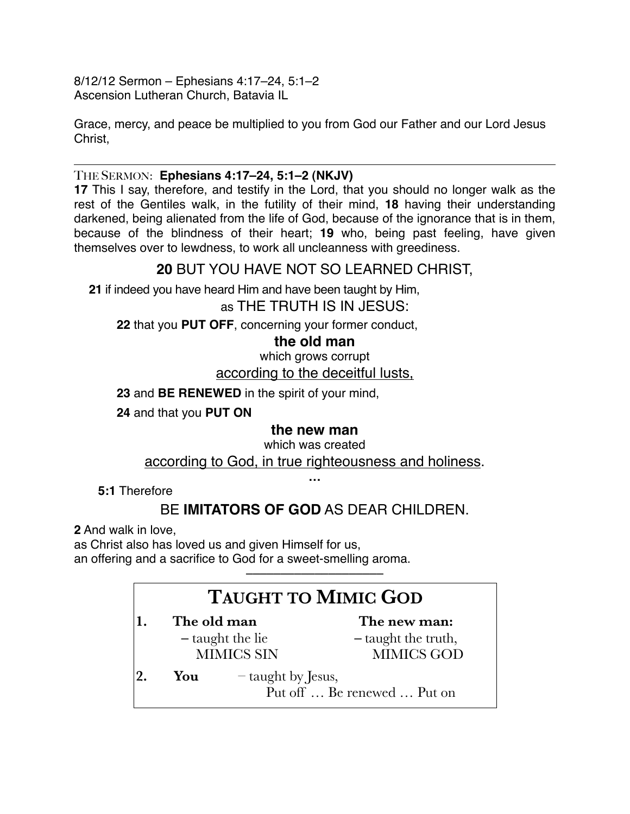8/12/12 Sermon – Ephesians 4:17–24, 5:1–2 Ascension Lutheran Church, Batavia IL

Grace, mercy, and peace be multiplied to you from God our Father and our Lord Jesus Christ,

### THE SERMON: **Ephesians 4:17–24, 5:1–2 (NKJV)**

**17** This I say, therefore, and testify in the Lord, that you should no longer walk as the rest of the Gentiles walk, in the futility of their mind, **18** having their understanding darkened, being alienated from the life of God, because of the ignorance that is in them, because of the blindness of their heart; **19** who, being past feeling, have given themselves over to lewdness, to work all uncleanness with greediness.

# **20** BUT YOU HAVE NOT SO LEARNED CHRIST,

**21** if indeed you have heard Him and have been taught by Him,

## as THE TRUTH IS IN JESUS:

**22** that you **PUT OFF**, concerning your former conduct,

### **the old man**

which grows corrupt according to the deceitful lusts,

**23** and **BE RENEWED** in the spirit of your mind,

**24** and that you **PUT ON**

## **the new man**

which was created

according to God, in true righteousness and holiness.

**…**

**5:1** Therefore

# BE **IMITATORS OF GOD** AS DEAR CHILDREN.

**2** And walk in love,

as Christ also has loved us and given Himself for us, an offering and a sacrifice to God for a sweet-smelling aroma.

# **TAUGHT TO MIMIC GOD**

––––––––––––––––––––

- **1. The old man –** taught the lie MIMICS SIN **The new man: –** taught the truth, MIMICS GOD **2. You** – taught by Jesus,
	- Put off … Be renewed … Put on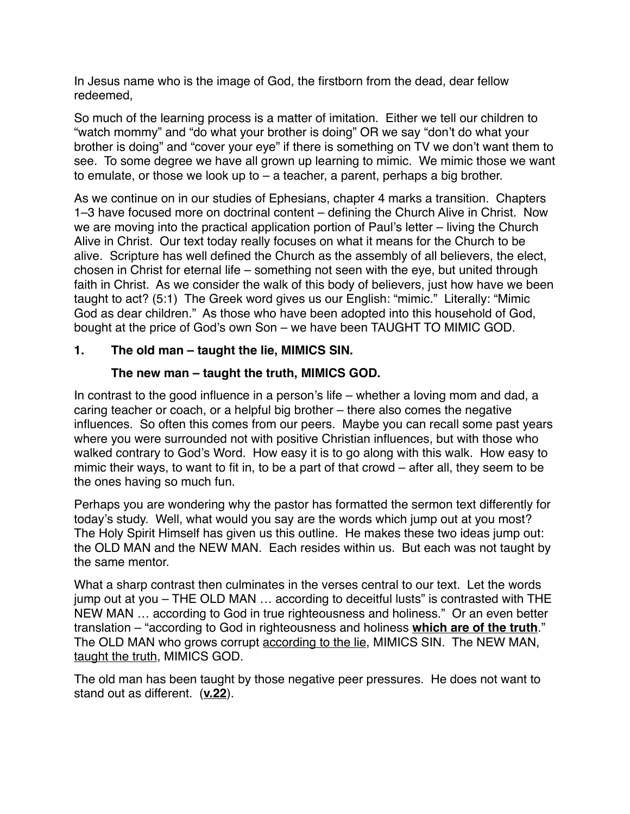In Jesus name who is the image of God, the firstborn from the dead, dear fellow redeemed,

So much of the learning process is a matter of imitation. Either we tell our children to "watch mommy" and "do what your brother is doing" OR we say "don't do what your brother is doing" and "cover your eye" if there is something on TV we don't want them to see. To some degree we have all grown up learning to mimic. We mimic those we want to emulate, or those we look up to – a teacher, a parent, perhaps a big brother.

As we continue on in our studies of Ephesians, chapter 4 marks a transition. Chapters 1–3 have focused more on doctrinal content – defining the Church Alive in Christ. Now we are moving into the practical application portion of Paul's letter – living the Church Alive in Christ. Our text today really focuses on what it means for the Church to be alive. Scripture has well defined the Church as the assembly of all believers, the elect, chosen in Christ for eternal life – something not seen with the eye, but united through faith in Christ. As we consider the walk of this body of believers, just how have we been taught to act? (5:1) The Greek word gives us our English: "mimic." Literally: "Mimic God as dear children." As those who have been adopted into this household of God, bought at the price of God's own Son – we have been TAUGHT TO MIMIC GOD.

### **1. The old man – taught the lie, MIMICS SIN.**

### **The new man – taught the truth, MIMICS GOD.**

In contrast to the good influence in a person's life – whether a loving mom and dad, a caring teacher or coach, or a helpful big brother – there also comes the negative influences. So often this comes from our peers. Maybe you can recall some past years where you were surrounded not with positive Christian influences, but with those who walked contrary to God's Word. How easy it is to go along with this walk. How easy to mimic their ways, to want to fit in, to be a part of that crowd – after all, they seem to be the ones having so much fun.

Perhaps you are wondering why the pastor has formatted the sermon text differently for today's study. Well, what would you say are the words which jump out at you most? The Holy Spirit Himself has given us this outline. He makes these two ideas jump out: the OLD MAN and the NEW MAN. Each resides within us. But each was not taught by the same mentor.

What a sharp contrast then culminates in the verses central to our text. Let the words jump out at you – THE OLD MAN … according to deceitful lusts" is contrasted with THE NEW MAN … according to God in true righteousness and holiness." Or an even better translation – "according to God in righteousness and holiness **which are of the truth**." The OLD MAN who grows corrupt according to the lie, MIMICS SIN. The NEW MAN, taught the truth, MIMICS GOD.

The old man has been taught by those negative peer pressures. He does not want to stand out as different. (**v.22**).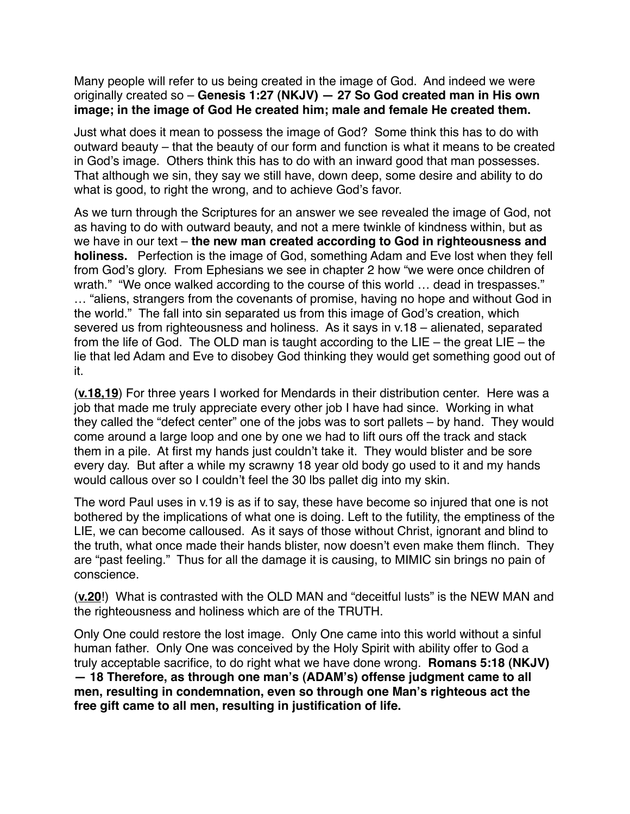Many people will refer to us being created in the image of God. And indeed we were originally created so – **Genesis 1:27 (NKJV) — 27 So God created man in His own image; in the image of God He created him; male and female He created them.**

Just what does it mean to possess the image of God? Some think this has to do with outward beauty – that the beauty of our form and function is what it means to be created in God's image. Others think this has to do with an inward good that man possesses. That although we sin, they say we still have, down deep, some desire and ability to do what is good, to right the wrong, and to achieve God's favor.

As we turn through the Scriptures for an answer we see revealed the image of God, not as having to do with outward beauty, and not a mere twinkle of kindness within, but as we have in our text – **the new man created according to God in righteousness and holiness.** Perfection is the image of God, something Adam and Eve lost when they fell from God's glory. From Ephesians we see in chapter 2 how "we were once children of wrath." "We once walked according to the course of this world … dead in trespasses." … "aliens, strangers from the covenants of promise, having no hope and without God in the world."The fall into sin separated us from this image of God's creation, which severed us from righteousness and holiness. As it says in v.18 – alienated, separated from the life of God. The OLD man is taught according to the LIE – the great  $LIE -$  the lie that led Adam and Eve to disobey God thinking they would get something good out of it.

(**v.18,19**) For three years I worked for Mendards in their distribution center. Here was a job that made me truly appreciate every other job I have had since. Working in what they called the "defect center" one of the jobs was to sort pallets – by hand. They would come around a large loop and one by one we had to lift ours off the track and stack them in a pile. At first my hands just couldn't take it. They would blister and be sore every day. But after a while my scrawny 18 year old body go used to it and my hands would callous over so I couldn't feel the 30 lbs pallet dig into my skin.

The word Paul uses in v.19 is as if to say, these have become so injured that one is not bothered by the implications of what one is doing. Left to the futility, the emptiness of the LIE, we can become calloused. As it says of those without Christ, ignorant and blind to the truth, what once made their hands blister, now doesn't even make them flinch. They are "past feeling." Thus for all the damage it is causing, to MIMIC sin brings no pain of conscience.

(**v.20**!) What is contrasted with the OLD MAN and "deceitful lusts" is the NEW MAN and the righteousness and holiness which are of the TRUTH.

Only One could restore the lost image. Only One came into this world without a sinful human father. Only One was conceived by the Holy Spirit with ability offer to God a truly acceptable sacrifice, to do right what we have done wrong. **Romans 5:18 (NKJV) — 18 Therefore, as through one man's (ADAM's) offense judgment came to all men, resulting in condemnation, even so through one Man's righteous act the free gift came to all men, resulting in justification of life.**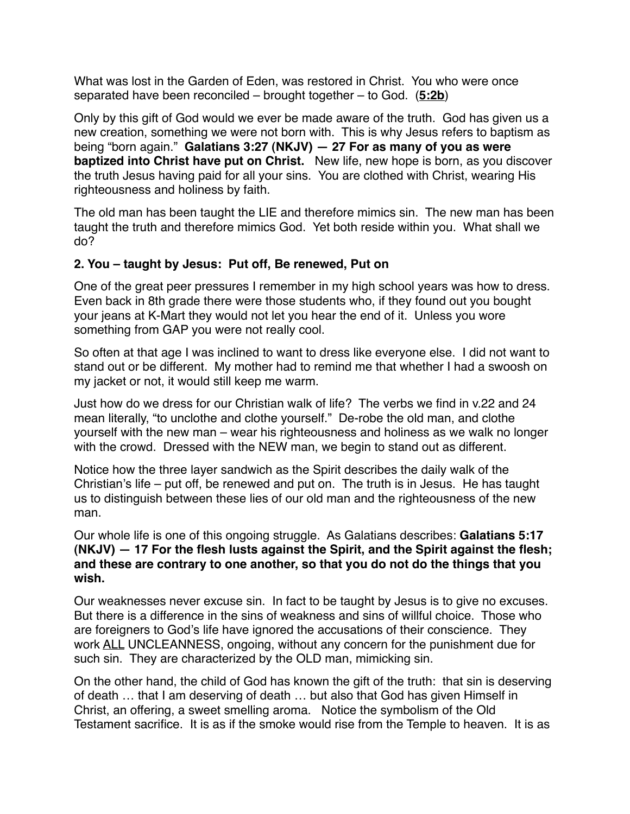What was lost in the Garden of Eden, was restored in Christ. You who were once separated have been reconciled – brought together – to God. (**5:2b**)

Only by this gift of God would we ever be made aware of the truth. God has given us a new creation, something we were not born with. This is why Jesus refers to baptism as being "born again." **Galatians 3:27 (NKJV) — 27 For as many of you as were baptized into Christ have put on Christ.** New life, new hope is born, as you discover the truth Jesus having paid for all your sins. You are clothed with Christ, wearing His righteousness and holiness by faith.

The old man has been taught the LIE and therefore mimics sin. The new man has been taught the truth and therefore mimics God. Yet both reside within you. What shall we do?

#### **2. You – taught by Jesus: Put off, Be renewed, Put on**

One of the great peer pressures I remember in my high school years was how to dress. Even back in 8th grade there were those students who, if they found out you bought your jeans at K-Mart they would not let you hear the end of it. Unless you wore something from GAP you were not really cool.

So often at that age I was inclined to want to dress like everyone else. I did not want to stand out or be different. My mother had to remind me that whether I had a swoosh on my jacket or not, it would still keep me warm.

Just how do we dress for our Christian walk of life? The verbs we find in v.22 and 24 mean literally, "to unclothe and clothe yourself." De-robe the old man, and clothe yourself with the new man – wear his righteousness and holiness as we walk no longer with the crowd. Dressed with the NEW man, we begin to stand out as different.

Notice how the three layer sandwich as the Spirit describes the daily walk of the Christian's life – put off, be renewed and put on. The truth is in Jesus. He has taught us to distinguish between these lies of our old man and the righteousness of the new man.

Our whole life is one of this ongoing struggle. As Galatians describes: **Galatians 5:17 (NKJV) — 17 For the flesh lusts against the Spirit, and the Spirit against the flesh; and these are contrary to one another, so that you do not do the things that you wish.**

Our weaknesses never excuse sin. In fact to be taught by Jesus is to give no excuses. But there is a difference in the sins of weakness and sins of willful choice. Those who are foreigners to God's life have ignored the accusations of their conscience. They work ALL UNCLEANNESS, ongoing, without any concern for the punishment due for such sin. They are characterized by the OLD man, mimicking sin.

On the other hand, the child of God has known the gift of the truth: that sin is deserving of death … that I am deserving of death … but also that God has given Himself in Christ, an offering, a sweet smelling aroma. Notice the symbolism of the Old Testament sacrifice. It is as if the smoke would rise from the Temple to heaven. It is as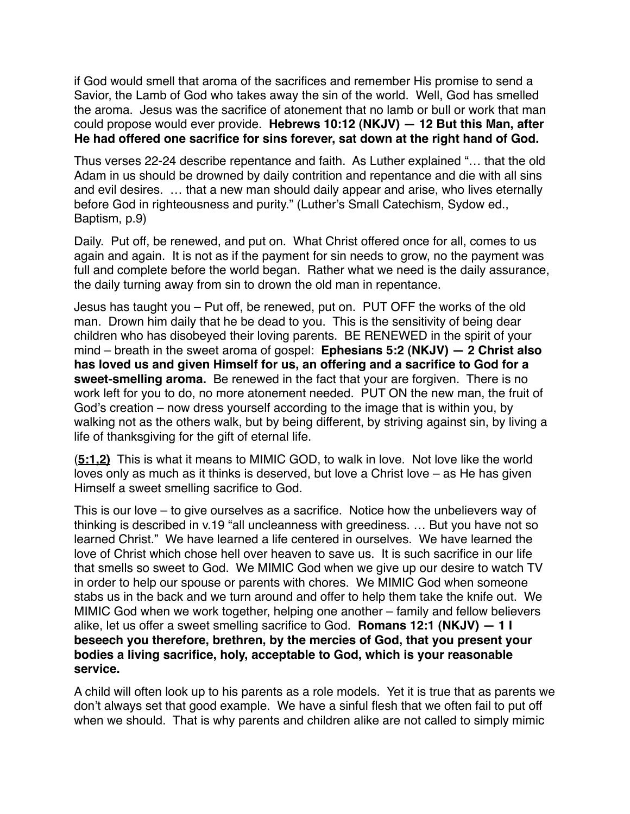if God would smell that aroma of the sacrifices and remember His promise to send a Savior, the Lamb of God who takes away the sin of the world. Well, God has smelled the aroma. Jesus was the sacrifice of atonement that no lamb or bull or work that man could propose would ever provide. **Hebrews 10:12 (NKJV) — 12 But this Man, after He had offered one sacrifice for sins forever, sat down at the right hand of God.**

Thus verses 22-24 describe repentance and faith. As Luther explained "… that the old Adam in us should be drowned by daily contrition and repentance and die with all sins and evil desires. … that a new man should daily appear and arise, who lives eternally before God in righteousness and purity." (Luther's Small Catechism, Sydow ed., Baptism, p.9)

Daily. Put off, be renewed, and put on. What Christ offered once for all, comes to us again and again. It is not as if the payment for sin needs to grow, no the payment was full and complete before the world began. Rather what we need is the daily assurance, the daily turning away from sin to drown the old man in repentance.

Jesus has taught you – Put off, be renewed, put on. PUT OFF the works of the old man. Drown him daily that he be dead to you. This is the sensitivity of being dear children who has disobeyed their loving parents. BE RENEWED in the spirit of your mind – breath in the sweet aroma of gospel: **Ephesians 5:2 (NKJV) — 2 Christ also has loved us and given Himself for us, an offering and a sacrifice to God for a sweet-smelling aroma.** Be renewed in the fact that your are forgiven. There is no work left for you to do, no more atonement needed. PUT ON the new man, the fruit of God's creation – now dress yourself according to the image that is within you, by walking not as the others walk, but by being different, by striving against sin, by living a life of thanksgiving for the gift of eternal life.

(**5:1,2)** This is what it means to MIMIC GOD, to walk in love. Not love like the world loves only as much as it thinks is deserved, but love a Christ love – as He has given Himself a sweet smelling sacrifice to God.

This is our love – to give ourselves as a sacrifice. Notice how the unbelievers way of thinking is described in v.19 "all uncleanness with greediness. … But you have not so learned Christ." We have learned a life centered in ourselves. We have learned the love of Christ which chose hell over heaven to save us. It is such sacrifice in our life that smells so sweet to God. We MIMIC God when we give up our desire to watch TV in order to help our spouse or parents with chores. We MIMIC God when someone stabs us in the back and we turn around and offer to help them take the knife out. We MIMIC God when we work together, helping one another – family and fellow believers alike, let us offer a sweet smelling sacrifice to God. **Romans 12:1 (NKJV) — 1 I beseech you therefore, brethren, by the mercies of God, that you present your bodies a living sacrifice, holy, acceptable to God, which is your reasonable service.**

A child will often look up to his parents as a role models. Yet it is true that as parents we don't always set that good example. We have a sinful flesh that we often fail to put off when we should. That is why parents and children alike are not called to simply mimic